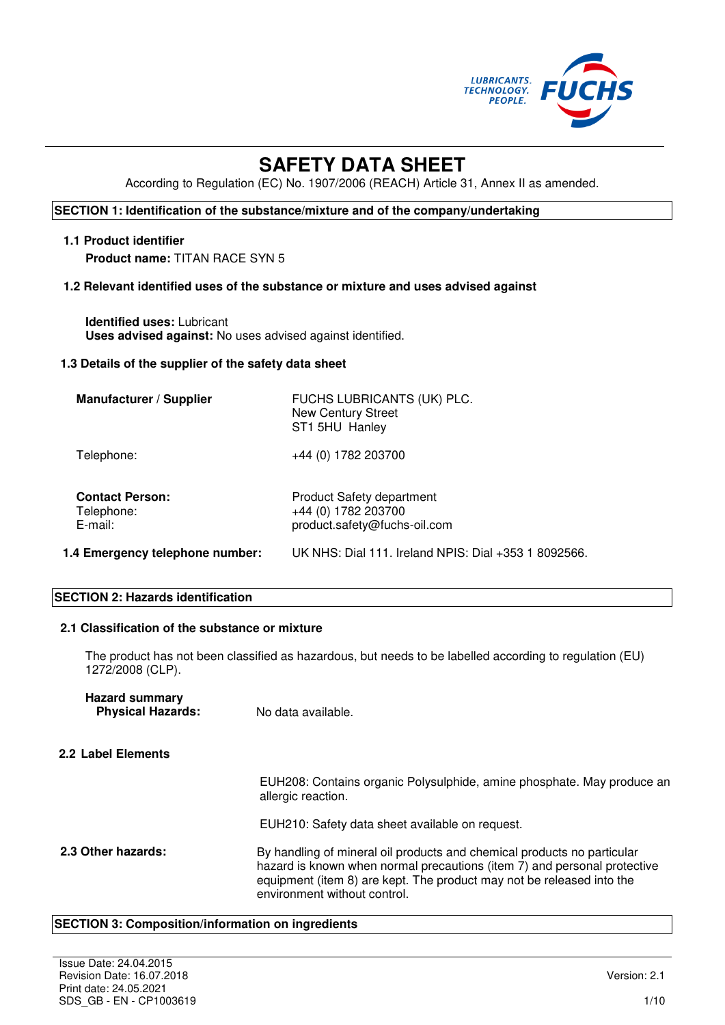

# **SAFETY DATA SHEET**

According to Regulation (EC) No. 1907/2006 (REACH) Article 31, Annex II as amended.

# **SECTION 1: Identification of the substance/mixture and of the company/undertaking**

#### **1.1 Product identifier**

**Product name:** TITAN RACE SYN 5

# **1.2 Relevant identified uses of the substance or mixture and uses advised against**

**Identified uses:** Lubricant **Uses advised against:** No uses advised against identified.

#### **1.3 Details of the supplier of the safety data sheet**

| <b>Manufacturer / Supplier</b>                  | FUCHS LUBRICANTS (UK) PLC.<br><b>New Century Street</b><br>ST1 5HU Hanley               |
|-------------------------------------------------|-----------------------------------------------------------------------------------------|
| Telephone:                                      | +44 (0) 1782 203700                                                                     |
| <b>Contact Person:</b><br>Telephone:<br>E-mail: | <b>Product Safety department</b><br>+44 (0) 1782 203700<br>product.safety@fuchs-oil.com |
| 1.4 Emergency telephone number:                 | UK NHS: Dial 111. Ireland NPIS: Dial +353 1 8092566.                                    |

# **SECTION 2: Hazards identification**

# **2.1 Classification of the substance or mixture**

The product has not been classified as hazardous, but needs to be labelled according to regulation (EU) 1272/2008 (CLP).

| <b>Hazard summary</b><br><b>Physical Hazards:</b> | No data available.                                                                                                                                                                                                                                           |
|---------------------------------------------------|--------------------------------------------------------------------------------------------------------------------------------------------------------------------------------------------------------------------------------------------------------------|
| 2.2 Label Elements                                |                                                                                                                                                                                                                                                              |
|                                                   | EUH208: Contains organic Polysulphide, amine phosphate. May produce an<br>allergic reaction.                                                                                                                                                                 |
|                                                   | EUH210: Safety data sheet available on request.                                                                                                                                                                                                              |
| 2.3 Other hazards:                                | By handling of mineral oil products and chemical products no particular<br>hazard is known when normal precautions (item 7) and personal protective<br>equipment (item 8) are kept. The product may not be released into the<br>environment without control. |

#### **SECTION 3: Composition/information on ingredients**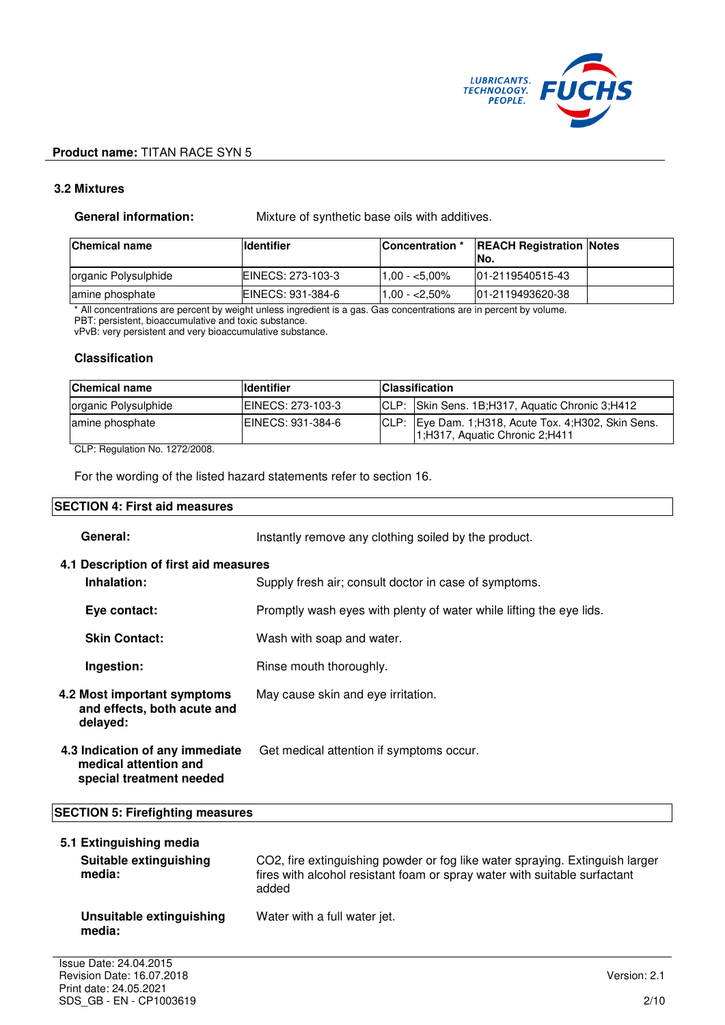

# **3.2 Mixtures**

**General information:** Mixture of synthetic base oils with additives.

| <b>Chemical name</b> | <b>I</b> ldentifier | Concentration * | <b>REACH Registration Notes</b><br>INo. |  |
|----------------------|---------------------|-----------------|-----------------------------------------|--|
| organic Polysulphide | EINECS: 273-103-3   | $1.00 - 5.00\%$ | 101-2119540515-43                       |  |
| amine phosphate      | EINECS: 931-384-6   | $1.00 - 2.50\%$ | 101-2119493620-38                       |  |

\* All concentrations are percent by weight unless ingredient is a gas. Gas concentrations are in percent by volume.

PBT: persistent, bioaccumulative and toxic substance. vPvB: very persistent and very bioaccumulative substance.

#### **Classification**

| <b>Chemical name</b> | <b>Identifier</b>  | <b>Classification</b>                                                                 |
|----------------------|--------------------|---------------------------------------------------------------------------------------|
| organic Polysulphide | IEINECS: 273-103-3 | CLP: Skin Sens. 1B;H317, Aquatic Chronic 3;H412                                       |
| amine phosphate      | IEINECS: 931-384-6 | CLP: Eye Dam. 1;H318, Acute Tox. 4;H302, Skin Sens.<br>1;H317, Aquatic Chronic 2;H411 |

CLP: Regulation No. 1272/2008.

For the wording of the listed hazard statements refer to section 16.

# **SECTION 4: First aid measures**

| General:                                                                             | Instantly remove any clothing soiled by the product.                |
|--------------------------------------------------------------------------------------|---------------------------------------------------------------------|
| 4.1 Description of first aid measures<br>Inhalation:                                 | Supply fresh air; consult doctor in case of symptoms.               |
| Eye contact:                                                                         | Promptly wash eyes with plenty of water while lifting the eye lids. |
| <b>Skin Contact:</b>                                                                 | Wash with soap and water.                                           |
| Ingestion:                                                                           | Rinse mouth thoroughly.                                             |
| 4.2 Most important symptoms<br>and effects, both acute and<br>delayed:               | May cause skin and eye irritation.                                  |
| 4.3 Indication of any immediate<br>medical attention and<br>special treatment needed | Get medical attention if symptoms occur.                            |

# **SECTION 5: Firefighting measures**

| 5.1 Extinguishing media<br>Suitable extinguishing<br>media: | CO2, fire extinguishing powder or fog like water spraying. Extinguish larger<br>fires with alcohol resistant foam or spray water with suitable surfactant<br>added |
|-------------------------------------------------------------|--------------------------------------------------------------------------------------------------------------------------------------------------------------------|
| Unsuitable extinguishing<br>media:                          | Water with a full water jet.                                                                                                                                       |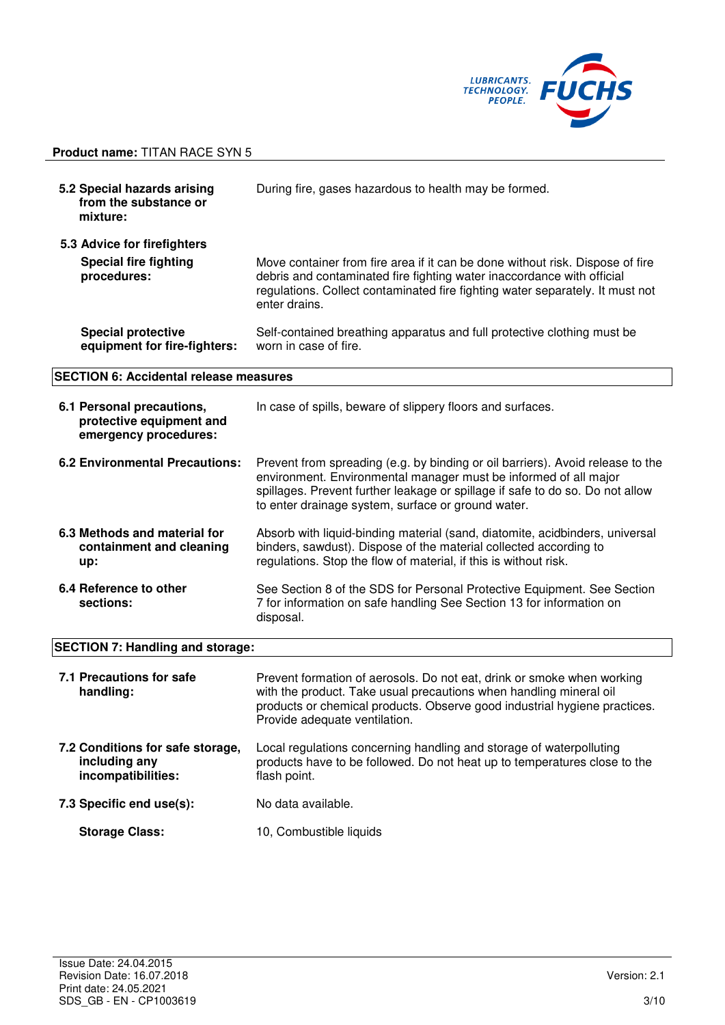

| 5.2 Special hazards arising<br>from the substance or<br>mixture:               | During fire, gases hazardous to health may be formed.                                                                                                                                                                                                                                     |
|--------------------------------------------------------------------------------|-------------------------------------------------------------------------------------------------------------------------------------------------------------------------------------------------------------------------------------------------------------------------------------------|
| 5.3 Advice for firefighters                                                    |                                                                                                                                                                                                                                                                                           |
| <b>Special fire fighting</b><br>procedures:                                    | Move container from fire area if it can be done without risk. Dispose of fire<br>debris and contaminated fire fighting water inaccordance with official<br>regulations. Collect contaminated fire fighting water separately. It must not<br>enter drains.                                 |
| <b>Special protective</b><br>equipment for fire-fighters:                      | Self-contained breathing apparatus and full protective clothing must be<br>worn in case of fire.                                                                                                                                                                                          |
| <b>SECTION 6: Accidental release measures</b>                                  |                                                                                                                                                                                                                                                                                           |
| 6.1 Personal precautions,<br>protective equipment and<br>emergency procedures: | In case of spills, beware of slippery floors and surfaces.                                                                                                                                                                                                                                |
| <b>6.2 Environmental Precautions:</b>                                          | Prevent from spreading (e.g. by binding or oil barriers). Avoid release to the<br>environment. Environmental manager must be informed of all major<br>spillages. Prevent further leakage or spillage if safe to do so. Do not allow<br>to enter drainage system, surface or ground water. |
| 6.3 Methods and material for<br>containment and cleaning<br>up:                | Absorb with liquid-binding material (sand, diatomite, acidbinders, universal<br>binders, sawdust). Dispose of the material collected according to<br>regulations. Stop the flow of material, if this is without risk.                                                                     |
| 6.4 Reference to other<br>sections:                                            | See Section 8 of the SDS for Personal Protective Equipment. See Section<br>7 for information on safe handling See Section 13 for information on<br>disposal.                                                                                                                              |
| <b>SECTION 7: Handling and storage:</b>                                        |                                                                                                                                                                                                                                                                                           |
| 7.1 Precautions for safe<br>handling:                                          | Prevent formation of aerosols. Do not eat, drink or smoke when working<br>with the product. Take usual precautions when handling mineral oil<br>products or chemical products. Observe good industrial hygiene practices.<br>Provide adequate ventilation.                                |
| 7.2 Conditions for safe storage,<br>including any<br>incompatibilities:        | Local regulations concerning handling and storage of waterpolluting<br>products have to be followed. Do not heat up to temperatures close to the<br>flash point.                                                                                                                          |
| 7.3 Specific end use(s):                                                       | No data available.                                                                                                                                                                                                                                                                        |
| <b>Storage Class:</b>                                                          | 10, Combustible liquids                                                                                                                                                                                                                                                                   |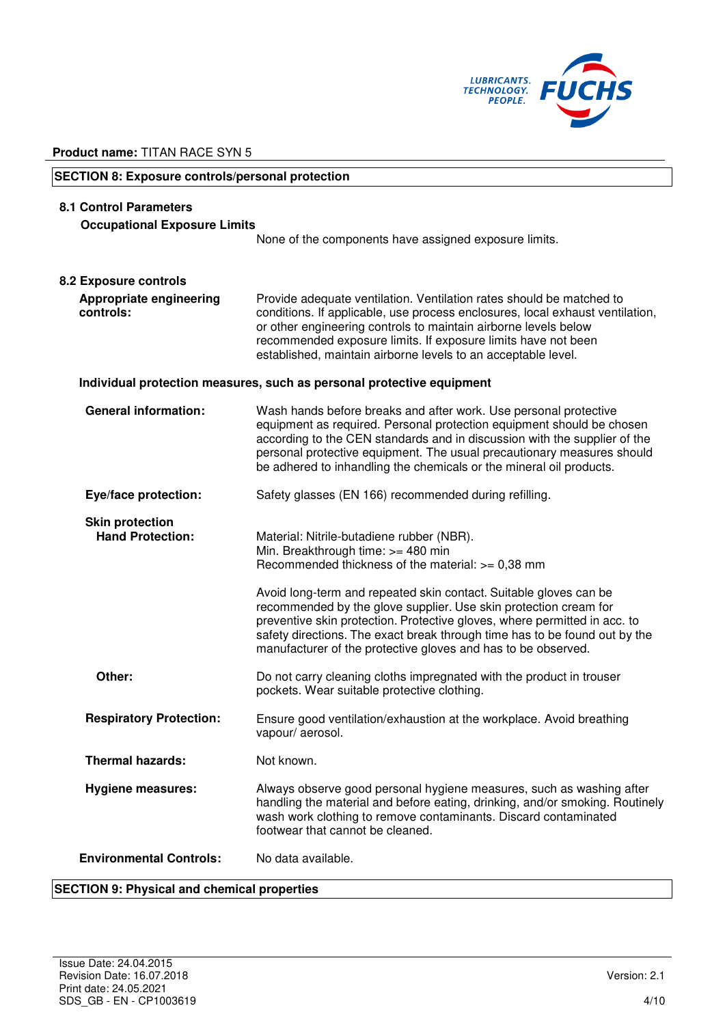

# **SECTION 8: Exposure controls/personal protection 8.1 Control Parameters Occupational Exposure Limits**  None of the components have assigned exposure limits. **8.2 Exposure controls Appropriate engineering controls:**  Provide adequate ventilation. Ventilation rates should be matched to conditions. If applicable, use process enclosures, local exhaust ventilation, or other engineering controls to maintain airborne levels below recommended exposure limits. If exposure limits have not been established, maintain airborne levels to an acceptable level. **Individual protection measures, such as personal protective equipment General information:** Wash hands before breaks and after work. Use personal protective equipment as required. Personal protection equipment should be chosen according to the CEN standards and in discussion with the supplier of the personal protective equipment. The usual precautionary measures should be adhered to inhandling the chemicals or the mineral oil products. **Eye/face protection:** Safety glasses (EN 166) recommended during refilling. **Skin protection<br>
Hand Protection:** Material: Nitrile-butadiene rubber (NBR). Min. Breakthrough time: >= 480 min Recommended thickness of the material: >= 0,38 mm Avoid long-term and repeated skin contact. Suitable gloves can be recommended by the glove supplier. Use skin protection cream for preventive skin protection. Protective gloves, where permitted in acc. to safety directions. The exact break through time has to be found out by the manufacturer of the protective gloves and has to be observed. **Other:** Do not carry cleaning cloths impregnated with the product in trouser pockets. Wear suitable protective clothing. **Respiratory Protection:** Ensure good ventilation/exhaustion at the workplace. Avoid breathing vapour/ aerosol. **Thermal hazards:** Not known. **Hygiene measures:** Always observe good personal hygiene measures, such as washing after handling the material and before eating, drinking, and/or smoking. Routinely wash work clothing to remove contaminants. Discard contaminated footwear that cannot be cleaned. **Environmental Controls:** No data available.

# **SECTION 9: Physical and chemical properties**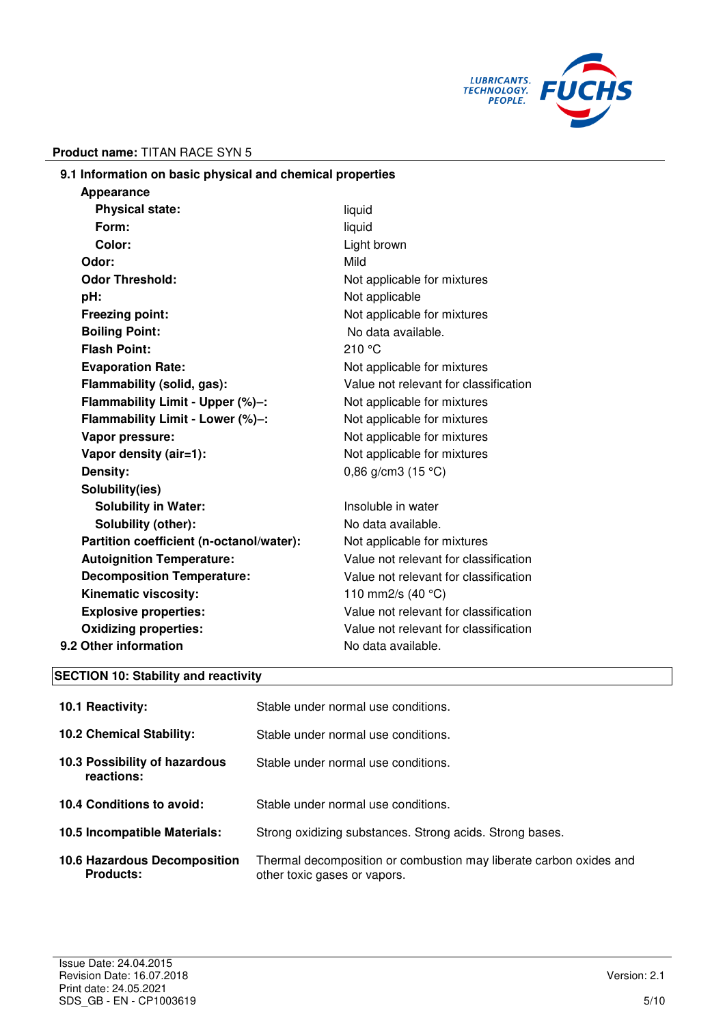

| 9.1 Information on basic physical and chemical properties |                                       |
|-----------------------------------------------------------|---------------------------------------|
| Appearance                                                |                                       |
| <b>Physical state:</b>                                    | liquid                                |
| Form:                                                     | liquid                                |
| Color:                                                    | Light brown                           |
| Odor:                                                     | Mild                                  |
| <b>Odor Threshold:</b>                                    | Not applicable for mixtures           |
| pH:                                                       | Not applicable                        |
| Freezing point:                                           | Not applicable for mixtures           |
| <b>Boiling Point:</b>                                     | No data available.                    |
| <b>Flash Point:</b>                                       | 210 °C                                |
| <b>Evaporation Rate:</b>                                  | Not applicable for mixtures           |
| Flammability (solid, gas):                                | Value not relevant for classification |
| Flammability Limit - Upper (%)-:                          | Not applicable for mixtures           |
| Flammability Limit - Lower (%)-:                          | Not applicable for mixtures           |
| Vapor pressure:                                           | Not applicable for mixtures           |
| Vapor density (air=1):                                    | Not applicable for mixtures           |
| Density:                                                  | 0,86 g/cm3 $(15 °C)$                  |
| Solubility(ies)                                           |                                       |
| <b>Solubility in Water:</b>                               | Insoluble in water                    |
| Solubility (other):                                       | No data available.                    |
| Partition coefficient (n-octanol/water):                  | Not applicable for mixtures           |
| <b>Autoignition Temperature:</b>                          | Value not relevant for classification |
| <b>Decomposition Temperature:</b>                         | Value not relevant for classification |
| Kinematic viscosity:                                      | 110 mm2/s $(40 °C)$                   |
| <b>Explosive properties:</b>                              | Value not relevant for classification |
| <b>Oxidizing properties:</b>                              | Value not relevant for classification |
| 9.2 Other information                                     | No data available.                    |
|                                                           |                                       |

# **SECTION 10: Stability and reactivity**

| <b>10.1 Reactivity:</b>                                 | Stable under normal use conditions.                                                                |
|---------------------------------------------------------|----------------------------------------------------------------------------------------------------|
| <b>10.2 Chemical Stability:</b>                         | Stable under normal use conditions.                                                                |
| 10.3 Possibility of hazardous<br>reactions:             | Stable under normal use conditions.                                                                |
| 10.4 Conditions to avoid:                               | Stable under normal use conditions.                                                                |
| 10.5 Incompatible Materials:                            | Strong oxidizing substances. Strong acids. Strong bases.                                           |
| <b>10.6 Hazardous Decomposition</b><br><b>Products:</b> | Thermal decomposition or combustion may liberate carbon oxides and<br>other toxic gases or vapors. |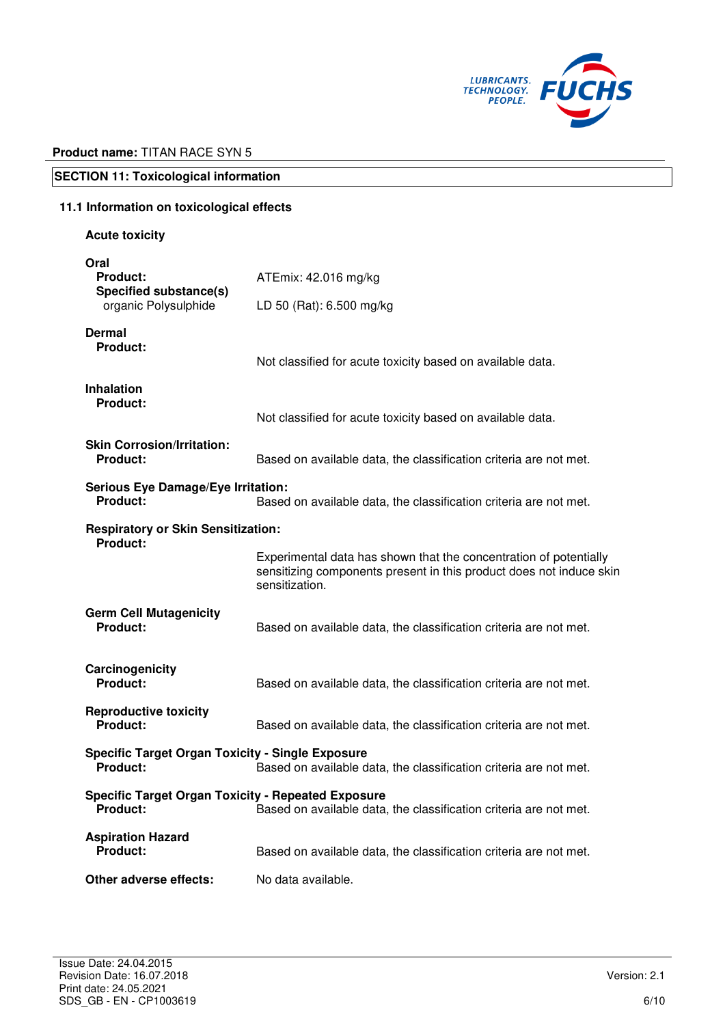

# **SECTION 11: Toxicological information**

# **11.1 Information on toxicological effects**

# **Acute toxicity**

| Oral<br><b>Product:</b><br>Specified substance(s)                          | ATEmix: 42.016 mg/kg                                                                                                                                       |
|----------------------------------------------------------------------------|------------------------------------------------------------------------------------------------------------------------------------------------------------|
| organic Polysulphide                                                       | LD 50 (Rat): 6.500 mg/kg                                                                                                                                   |
| Dermal<br><b>Product:</b>                                                  | Not classified for acute toxicity based on available data.                                                                                                 |
| <b>Inhalation</b><br><b>Product:</b>                                       | Not classified for acute toxicity based on available data.                                                                                                 |
| <b>Skin Corrosion/Irritation:</b><br><b>Product:</b>                       | Based on available data, the classification criteria are not met.                                                                                          |
| <b>Serious Eye Damage/Eye Irritation:</b><br><b>Product:</b>               | Based on available data, the classification criteria are not met.                                                                                          |
| <b>Respiratory or Skin Sensitization:</b><br><b>Product:</b>               |                                                                                                                                                            |
|                                                                            | Experimental data has shown that the concentration of potentially<br>sensitizing components present in this product does not induce skin<br>sensitization. |
| <b>Germ Cell Mutagenicity</b><br>Product:                                  | Based on available data, the classification criteria are not met.                                                                                          |
| Carcinogenicity<br>Product:                                                | Based on available data, the classification criteria are not met.                                                                                          |
| <b>Reproductive toxicity</b><br>Product:                                   | Based on available data, the classification criteria are not met.                                                                                          |
| <b>Specific Target Organ Toxicity - Single Exposure</b><br><b>Product:</b> | Based on available data, the classification criteria are not met.                                                                                          |
| <b>Specific Target Organ Toxicity - Repeated Exposure</b><br>Product:      | Based on available data, the classification criteria are not met.                                                                                          |
| <b>Aspiration Hazard</b><br><b>Product:</b>                                | Based on available data, the classification criteria are not met.                                                                                          |
| Other adverse effects:                                                     | No data available.                                                                                                                                         |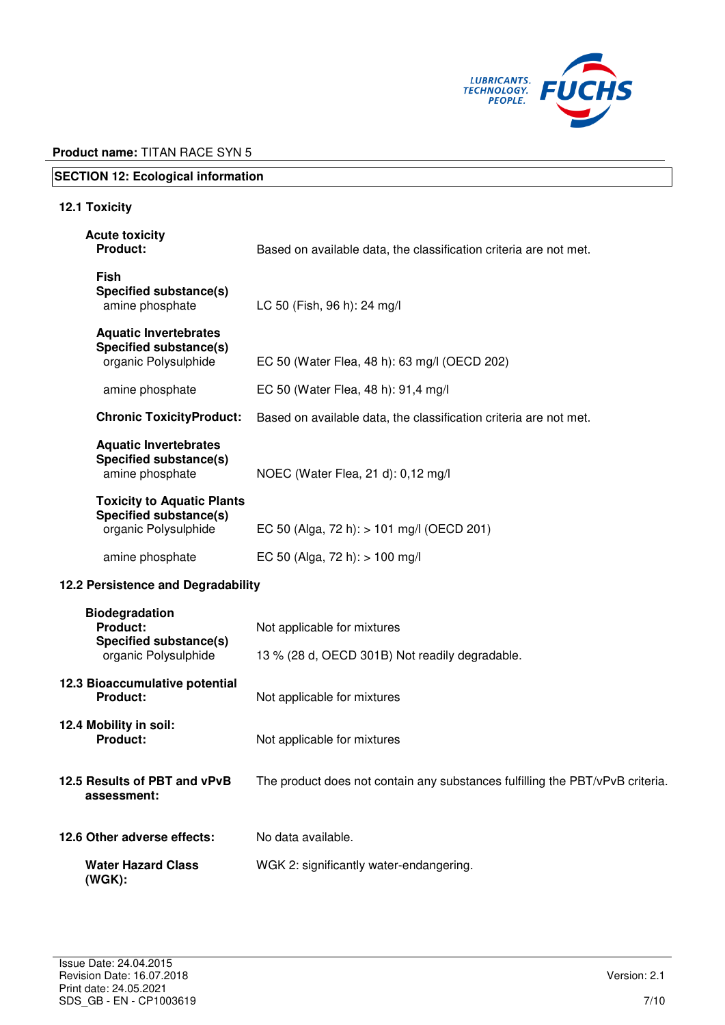

# **SECTION 12: Ecological information**

# **12.1 Toxicity**

| <b>Acute toxicity</b><br><b>Product:</b>                                                   | Based on available data, the classification criteria are not met.             |
|--------------------------------------------------------------------------------------------|-------------------------------------------------------------------------------|
| <b>Fish</b><br>Specified substance(s)<br>amine phosphate                                   | LC 50 (Fish, 96 h): 24 mg/l                                                   |
| <b>Aquatic Invertebrates</b><br><b>Specified substance(s)</b><br>organic Polysulphide      | EC 50 (Water Flea, 48 h): 63 mg/l (OECD 202)                                  |
| amine phosphate                                                                            | EC 50 (Water Flea, 48 h): 91,4 mg/l                                           |
| <b>Chronic ToxicityProduct:</b>                                                            | Based on available data, the classification criteria are not met.             |
| <b>Aquatic Invertebrates</b><br>Specified substance(s)<br>amine phosphate                  | NOEC (Water Flea, 21 d): 0,12 mg/l                                            |
| <b>Toxicity to Aquatic Plants</b><br><b>Specified substance(s)</b><br>organic Polysulphide | EC 50 (Alga, 72 h): > 101 mg/l (OECD 201)                                     |
| amine phosphate                                                                            | EC 50 (Alga, 72 h): $> 100$ mg/l                                              |
| 12.2 Persistence and Degradability                                                         |                                                                               |
| <b>Biodegradation</b><br><b>Product:</b><br>Specified substance(s)<br>organic Polysulphide | Not applicable for mixtures<br>13 % (28 d, OECD 301B) Not readily degradable. |
|                                                                                            |                                                                               |
| 12.3 Bioaccumulative potential<br><b>Product:</b>                                          | Not applicable for mixtures                                                   |
| 12.4 Mobility in soil:<br><b>Product:</b>                                                  | Not applicable for mixtures                                                   |
| 12.5 Results of PBT and vPvB<br>assessment:                                                | The product does not contain any substances fulfilling the PBT/vPvB criteria. |
| 12.6 Other adverse effects:                                                                | No data available.                                                            |
| <b>Water Hazard Class</b><br>$(WGK)$ :                                                     | WGK 2: significantly water-endangering.                                       |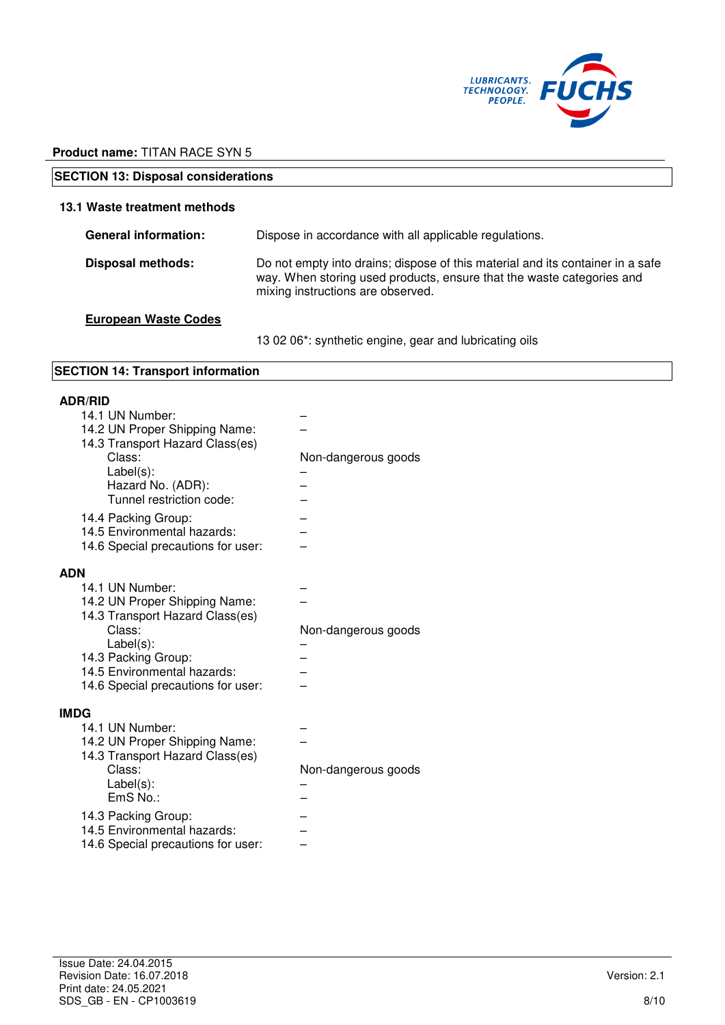

| <b>SECTION 13: Disposal considerations</b> |                                                                                                                                                                                              |  |
|--------------------------------------------|----------------------------------------------------------------------------------------------------------------------------------------------------------------------------------------------|--|
| 13.1 Waste treatment methods               |                                                                                                                                                                                              |  |
| <b>General information:</b>                | Dispose in accordance with all applicable regulations.                                                                                                                                       |  |
| <b>Disposal methods:</b>                   | Do not empty into drains; dispose of this material and its container in a safe<br>way. When storing used products, ensure that the waste categories and<br>mixing instructions are observed. |  |
| <b>European Waste Codes</b>                |                                                                                                                                                                                              |  |

13 02 06\*: synthetic engine, gear and lubricating oils

# **SECTION 14: Transport information**

# **ADR/RID**

| 14.1 UN Number:                    |                     |
|------------------------------------|---------------------|
| 14.2 UN Proper Shipping Name:      |                     |
| 14.3 Transport Hazard Class(es)    |                     |
| Class:                             | Non-dangerous goods |
| Label(s):                          |                     |
| Hazard No. (ADR):                  |                     |
|                                    |                     |
| Tunnel restriction code:           |                     |
| 14.4 Packing Group:                |                     |
| 14.5 Environmental hazards:        |                     |
| 14.6 Special precautions for user: |                     |
|                                    |                     |
| <b>ADN</b>                         |                     |
| 14.1 UN Number:                    |                     |
| 14.2 UN Proper Shipping Name:      |                     |
| 14.3 Transport Hazard Class(es)    |                     |
| Class:                             | Non-dangerous goods |
|                                    |                     |
| $Label(s)$ :                       |                     |
| 14.3 Packing Group:                |                     |
| 14.5 Environmental hazards:        |                     |
| 14.6 Special precautions for user: |                     |
|                                    |                     |
| <b>IMDG</b>                        |                     |
| 14.1 UN Number:                    |                     |
| 14.2 UN Proper Shipping Name:      |                     |
| 14.3 Transport Hazard Class(es)    |                     |
| Class:                             | Non-dangerous goods |
| $Label(s)$ :                       |                     |
| $EmS$ No.:                         |                     |
| 14.3 Packing Group:                |                     |
| 14.5 Environmental hazards:        |                     |
|                                    |                     |
| 14.6 Special precautions for user: |                     |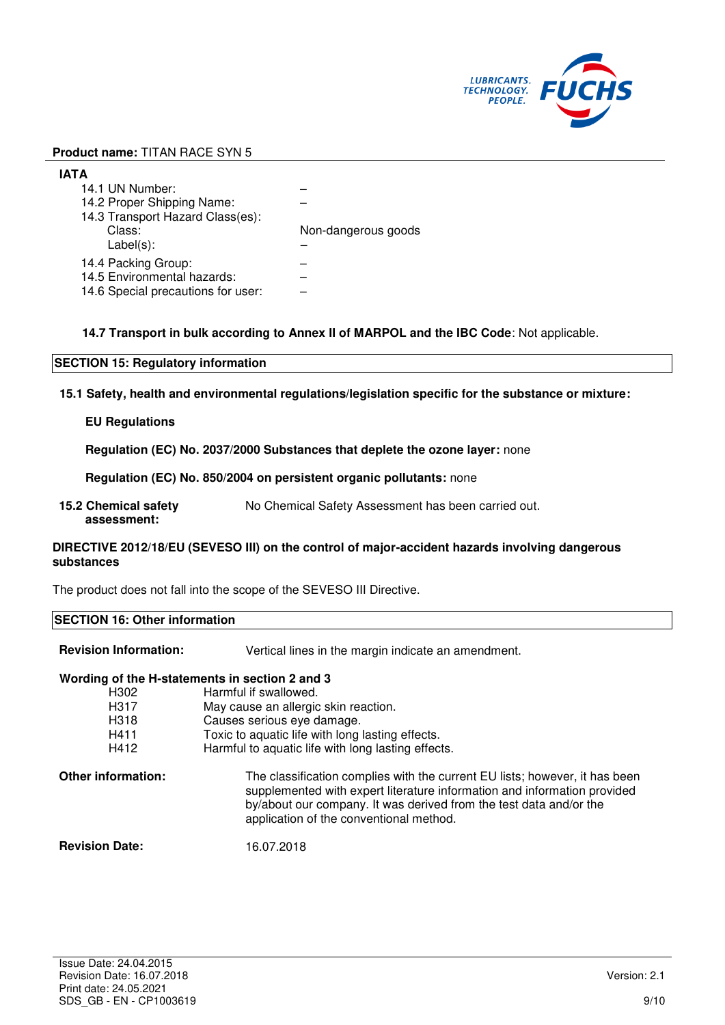

| IATA                                                                                     |                     |
|------------------------------------------------------------------------------------------|---------------------|
| 14.1 UN Number:                                                                          |                     |
| 14.2 Proper Shipping Name:                                                               |                     |
| 14.3 Transport Hazard Class(es):<br>Class:<br>$Label(s)$ :                               | Non-dangerous goods |
| 14.4 Packing Group:<br>14.5 Environmental hazards:<br>14.6 Special precautions for user: |                     |

# **14.7 Transport in bulk according to Annex II of MARPOL and the IBC Code**: Not applicable.

# **SECTION 15: Regulatory information**

**15.1 Safety, health and environmental regulations/legislation specific for the substance or mixture:**

# **EU Regulations**

**Regulation (EC) No. 2037/2000 Substances that deplete the ozone layer:** none

**Regulation (EC) No. 850/2004 on persistent organic pollutants:** none

**15.2 Chemical safety assessment:**  No Chemical Safety Assessment has been carried out.

# **DIRECTIVE 2012/18/EU (SEVESO III) on the control of major-accident hazards involving dangerous substances**

The product does not fall into the scope of the SEVESO III Directive.

# **SECTION 16: Other information Revision Information:** Vertical lines in the margin indicate an amendment.

|                       | Wording of the H-statements in section 2 and 3                                                                                                                                                                                                                           |
|-----------------------|--------------------------------------------------------------------------------------------------------------------------------------------------------------------------------------------------------------------------------------------------------------------------|
| H302                  | Harmful if swallowed.                                                                                                                                                                                                                                                    |
| H317                  | May cause an allergic skin reaction.                                                                                                                                                                                                                                     |
| H318                  | Causes serious eye damage.                                                                                                                                                                                                                                               |
| H411                  | Toxic to aquatic life with long lasting effects.                                                                                                                                                                                                                         |
| H412                  | Harmful to aquatic life with long lasting effects.                                                                                                                                                                                                                       |
| Other information:    | The classification complies with the current EU lists; however, it has been<br>supplemented with expert literature information and information provided<br>by/about our company. It was derived from the test data and/or the<br>application of the conventional method. |
| <b>Revision Date:</b> | 16.07.2018                                                                                                                                                                                                                                                               |
|                       |                                                                                                                                                                                                                                                                          |